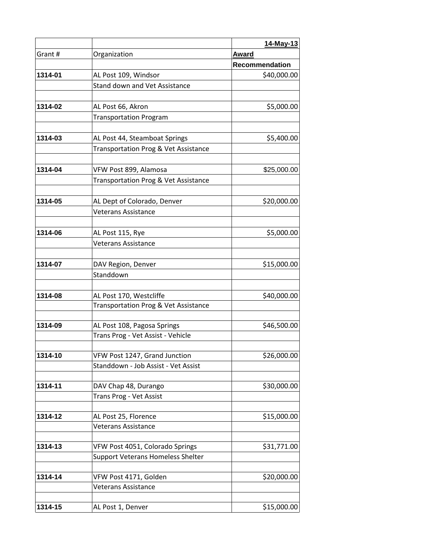|         |                                                                             | 14-May-13      |
|---------|-----------------------------------------------------------------------------|----------------|
| Grant # | Organization                                                                | Award          |
|         |                                                                             | Recommendation |
| 1314-01 | AL Post 109, Windsor                                                        | \$40,000.00    |
|         | Stand down and Vet Assistance                                               |                |
| 1314-02 | AL Post 66, Akron                                                           | \$5,000.00     |
|         | <b>Transportation Program</b>                                               |                |
| 1314-03 | AL Post 44, Steamboat Springs                                               | \$5,400.00     |
|         | Transportation Prog & Vet Assistance                                        |                |
| 1314-04 | VFW Post 899, Alamosa                                                       | \$25,000.00    |
|         | Transportation Prog & Vet Assistance                                        |                |
| 1314-05 | AL Dept of Colorado, Denver                                                 | \$20,000.00    |
|         | <b>Veterans Assistance</b>                                                  |                |
| 1314-06 | AL Post 115, Rye                                                            | \$5,000.00     |
|         | <b>Veterans Assistance</b>                                                  |                |
| 1314-07 | DAV Region, Denver                                                          | \$15,000.00    |
|         | Standdown                                                                   |                |
|         |                                                                             |                |
| 1314-08 | AL Post 170, Westcliffe<br>Transportation Prog & Vet Assistance             | \$40,000.00    |
|         |                                                                             |                |
| 1314-09 | AL Post 108, Pagosa Springs<br>Trans Prog - Vet Assist - Vehicle            | \$46,500.00    |
| 1314-10 |                                                                             |                |
|         | VFW Post 1247, Grand Junction<br>Standdown - Job Assist - Vet Assist        | \$26,000.00    |
|         | DAV Chap 48, Durango                                                        | \$30,000.00    |
| 1314-11 | Trans Prog - Vet Assist                                                     |                |
| 1314-12 | AL Post 25, Florence                                                        | \$15,000.00    |
|         | <b>Veterans Assistance</b>                                                  |                |
|         |                                                                             | \$31,771.00    |
| 1314-13 | VFW Post 4051, Colorado Springs<br><b>Support Veterans Homeless Shelter</b> |                |
|         |                                                                             |                |
| 1314-14 | VFW Post 4171, Golden<br>Veterans Assistance                                | \$20,000.00    |
| 1314-15 | AL Post 1, Denver                                                           | \$15,000.00    |
|         |                                                                             |                |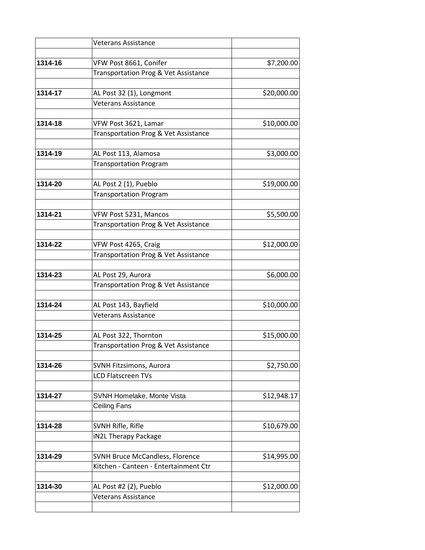|         | <b>Veterans Assistance</b>                             |             |
|---------|--------------------------------------------------------|-------------|
| 1314-16 | VFW Post 8661, Conifer                                 | \$7,200.00  |
|         | Transportation Prog & Vet Assistance                   |             |
| 1314-17 | AL Post 32 (1), Longmont                               | \$20,000.00 |
|         | <b>Veterans Assistance</b>                             |             |
| 1314-18 | VFW Post 3621, Lamar                                   | \$10,000.00 |
|         | Transportation Prog & Vet Assistance                   |             |
| 1314-19 | AL Post 113, Alamosa<br><b>Transportation Program</b>  | \$3,000.00  |
|         |                                                        |             |
| 1314-20 | AL Post 2 (1), Pueblo<br><b>Transportation Program</b> | \$19,000.00 |
|         |                                                        |             |
| 1314-21 | VFW Post 5231, Mancos                                  | \$5,500.00  |
|         | Transportation Prog & Vet Assistance                   |             |
| 1314-22 | VFW Post 4265, Craig                                   | \$12,000.00 |
|         | Transportation Prog & Vet Assistance                   |             |
| 1314-23 | AL Post 29, Aurora                                     | \$6,000.00  |
|         | Transportation Prog & Vet Assistance                   |             |
| 1314-24 | AL Post 143, Bayfield                                  | \$10,000.00 |
|         | <b>Veterans Assistance</b>                             |             |
| 1314-25 | AL Post 322, Thornton                                  | \$15,000.00 |
|         | Transportation Prog & Vet Assistance                   |             |
| 1314-26 | SVNH Fitzsimons, Aurora                                | \$2,750.00  |
|         | <b>LCD Flatscreen TVs</b>                              |             |
| 1314-27 | SVNH Homelake, Monte Vista                             | \$12,948.17 |
|         | <b>Ceiling Fans</b>                                    |             |
| 1314-28 | SVNH Rifle, Rifle                                      | \$10,679.00 |
|         | iN2L Therapy Package                                   |             |
| 1314-29 | <b>SVNH Bruce McCandless, Florence</b>                 | \$14,995.00 |
|         | Kitchen - Canteen - Entertainment Ctr                  |             |
| 1314-30 | AL Post #2 (2), Pueblo                                 | \$12,000.00 |
|         | <b>Veterans Assistance</b>                             |             |
|         |                                                        |             |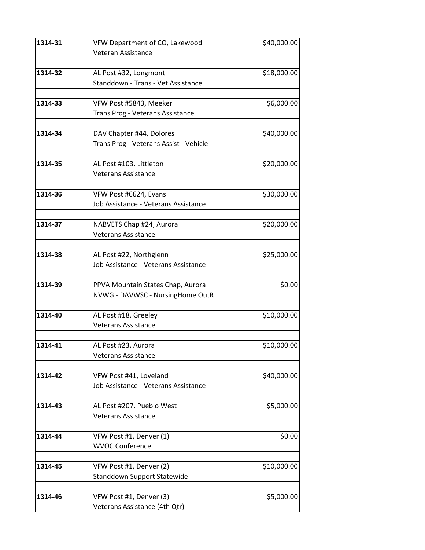| 1314-31 | VFW Department of CO, Lakewood                                     | \$40,000.00 |
|---------|--------------------------------------------------------------------|-------------|
|         | Veteran Assistance                                                 |             |
|         |                                                                    |             |
| 1314-32 | AL Post #32, Longmont                                              | \$18,000.00 |
|         | Standdown - Trans - Vet Assistance                                 |             |
| 1314-33 | VFW Post #5843, Meeker                                             | \$6,000.00  |
|         | Trans Prog - Veterans Assistance                                   |             |
|         |                                                                    | \$40,000.00 |
| 1314-34 | DAV Chapter #44, Dolores<br>Trans Prog - Veterans Assist - Vehicle |             |
|         |                                                                    |             |
| 1314-35 | AL Post #103, Littleton                                            | \$20,000.00 |
|         | <b>Veterans Assistance</b>                                         |             |
| 1314-36 | VFW Post #6624, Evans                                              | \$30,000.00 |
|         | Job Assistance - Veterans Assistance                               |             |
|         |                                                                    |             |
| 1314-37 | NABVETS Chap #24, Aurora                                           | \$20,000.00 |
|         | <b>Veterans Assistance</b>                                         |             |
|         |                                                                    |             |
| 1314-38 | AL Post #22, Northglenn                                            | \$25,000.00 |
|         | Job Assistance - Veterans Assistance                               |             |
| 1314-39 | PPVA Mountain States Chap, Aurora                                  | \$0.00      |
|         | NVWG - DAVWSC - NursingHome OutR                                   |             |
|         |                                                                    |             |
| 1314-40 | AL Post #18, Greeley                                               | \$10,000.00 |
|         | <b>Veterans Assistance</b>                                         |             |
| 1314-41 | AL Post #23, Aurora                                                | \$10,000.00 |
|         | <b>Veterans Assistance</b>                                         |             |
|         |                                                                    |             |
| 1314-42 | VFW Post #41, Loveland                                             | \$40,000.00 |
|         | Job Assistance - Veterans Assistance                               |             |
| 1314-43 | AL Post #207, Pueblo West                                          | \$5,000.00  |
|         | <b>Veterans Assistance</b>                                         |             |
| 1314-44 | VFW Post #1, Denver (1)                                            | \$0.00      |
|         | <b>WVOC Conference</b>                                             |             |
|         |                                                                    |             |
| 1314-45 | VFW Post #1, Denver (2)                                            | \$10,000.00 |
|         | <b>Standdown Support Statewide</b>                                 |             |
| 1314-46 | VFW Post #1, Denver (3)                                            | \$5,000.00  |
|         | Veterans Assistance (4th Qtr)                                      |             |
|         |                                                                    |             |